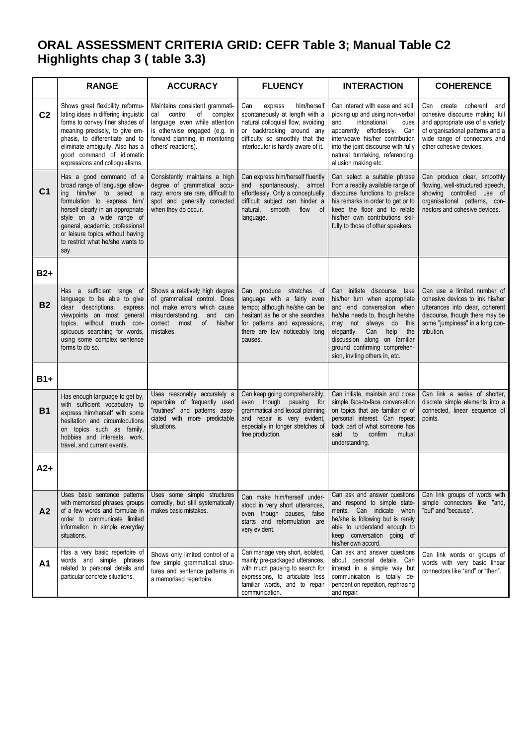### **ORAL ASSESSMENT CRITERIA GRID: CEFR Table 3; Manual Table C2 Highlights chap 3 ( table 3.3)**

|                | <b>RANGE</b>                                                                                                                                                                                                                                                                                            | <b>ACCURACY</b>                                                                                                                                                                             |                                                                                                                                                                                                              | <b>INTERACTION</b>                                                                                                                                                                                                                                                                     | <b>COHERENCE</b>                                                                                                                                                                             |  |
|----------------|---------------------------------------------------------------------------------------------------------------------------------------------------------------------------------------------------------------------------------------------------------------------------------------------------------|---------------------------------------------------------------------------------------------------------------------------------------------------------------------------------------------|--------------------------------------------------------------------------------------------------------------------------------------------------------------------------------------------------------------|----------------------------------------------------------------------------------------------------------------------------------------------------------------------------------------------------------------------------------------------------------------------------------------|----------------------------------------------------------------------------------------------------------------------------------------------------------------------------------------------|--|
| C <sub>2</sub> | Shows great flexibility reformu-<br>lating ideas in differing linguistic<br>forms to convey finer shades of<br>meaning precisely, to give em-<br>phasis, to differentiate and to<br>eliminate ambiguity. Also has a<br>good command of idiomatic<br>expressions and colloquialisms.                     | Maintains consistent grammati-<br>control<br>of complex<br>cal<br>language, even while attention<br>is otherwise engaged (e.g. in<br>forward planning, in monitoring<br>others' reactions). | him/herself<br>Can<br>express<br>spontaneously at length with a<br>natural colloquial flow, avoiding<br>or backtracking around any<br>difficulty so smoothly that the<br>interlocutor is hardly aware of it. | Can interact with ease and skill,<br>picking up and using non-verbal<br>intonational<br>and<br>cues<br>apparently effortlessly. Can<br>interweave his/her contribution<br>into the joint discourse with fully<br>natural turntaking, referencing,<br>allusion making etc.              | Can create coherent and<br>cohesive discourse making full<br>and appropriate use of a variety<br>of organisational patterns and a<br>wide range of connectors and<br>other cohesive devices. |  |
| C <sub>1</sub> | Has a good command of a<br>broad range of language allow-<br>ing him/her to select a<br>formulation to express him/<br>herself clearly in an appropriate<br>style on a wide range of<br>general, academic, professional<br>or leisure topics without having<br>to restrict what he/she wants to<br>say. | Consistently maintains a high<br>degree of grammatical accu-<br>racy; errors are rare, difficult to<br>spot and generally corrected<br>when they do occur.                                  | Can express him/herself fluently<br>and spontaneously, almost<br>effortlessly. Only a conceptually<br>difficult subject can hinder a<br>natural, smooth<br>flow of<br>language.                              | Can select a suitable phrase<br>from a readily available range of<br>discourse functions to preface<br>his remarks in order to get or to<br>keep the floor and to relate<br>his/her own contributions skil-<br>fully to those of other speakers.                                       | Can produce clear, smoothly<br>flowing, well-structured speech,<br>showing controlled use of<br>organisational patterns, con-<br>nectors and cohesive devices.                               |  |
| $B2+$          |                                                                                                                                                                                                                                                                                                         |                                                                                                                                                                                             |                                                                                                                                                                                                              |                                                                                                                                                                                                                                                                                        |                                                                                                                                                                                              |  |
| <b>B2</b>      | Has a sufficient range of<br>language to be able to give<br>clear descriptions, express<br>viewpoints on most general<br>topics, without much con-<br>spicuous searching for words,<br>using some complex sentence<br>forms to do so.                                                                   | Shows a relatively high degree<br>of grammatical control. Does<br>not make errors which cause<br>misunderstanding, and can<br>correct most of his/her<br>mistakes.                          | Can produce stretches of<br>language with a fairly even<br>tempo; although he/she can be<br>hesitant as he or she searches<br>for patterns and expressions.<br>there are few noticeably long<br>pauses.      | Can initiate discourse, take<br>his/her turn when appropriate<br>and end conversation when<br>he/she needs to, though he/she<br>may not always do this<br>elegantly. Can help<br>the<br>discussion along on familiar<br>ground confirming comprehen-<br>sion, inviting others in, etc. | Can use a limited number of<br>cohesive devices to link his/her<br>utterances into clear, coherent<br>discourse, though there may be<br>some "jumpiness" in a long con-<br>tribution.        |  |
| $B1+$          |                                                                                                                                                                                                                                                                                                         |                                                                                                                                                                                             |                                                                                                                                                                                                              |                                                                                                                                                                                                                                                                                        |                                                                                                                                                                                              |  |
| <b>B1</b>      | Has enough language to get by,<br>with sufficient vocabulary to<br>express him/herself with some<br>hesitation and circumlocutions<br>on topics such as family,<br>hobbies and interests, work,<br>travel, and current events.                                                                          | Uses reasonably accurately a<br>repertoire of frequently used<br>"routines" and patterns asso-<br>ciated with more predictable<br>situations.                                               | Can keep going comprehensibly,<br>even though pausing<br>for<br>grammatical and lexical planning<br>and repair is very evident,<br>especially in longer stretches of<br>free production.                     | Can initiate, maintain and close<br>simple face-to-face conversation<br>on topics that are familiar or of<br>personal interest. Can repeat<br>back part of what someone has<br>to confirm<br>said<br>mutual<br>understanding.                                                          | Can link a series of shorter,<br>discrete simple elements into a<br>connected, linear sequence of<br>points.                                                                                 |  |
| $A2+$          |                                                                                                                                                                                                                                                                                                         |                                                                                                                                                                                             |                                                                                                                                                                                                              |                                                                                                                                                                                                                                                                                        |                                                                                                                                                                                              |  |
| A <sub>2</sub> | Uses basic sentence patterns<br>with memorised phrases, groups<br>of a few words and formulae in<br>order to communicate limited<br>information in simple everyday<br>situations.                                                                                                                       | Uses some simple structures<br>correctly, but still systematically<br>makes basic mistakes.                                                                                                 | Can make him/herself under-<br>stood in very short utterances.<br>even though pauses, false<br>starts and reformulation are<br>very evident.                                                                 | Can ask and answer questions<br>and respond to simple state-<br>ments. Can indicate when<br>he/she is following but is rarely<br>able to understand enough to<br>keep conversation going of<br>his/her own accord.                                                                     | Can link groups of words with<br>simple connectors like "and,<br>"but" and "because".                                                                                                        |  |
| A <sub>1</sub> | Has a very basic repertoire of<br>words and simple phrases<br>related to personal details and<br>particular concrete situations.                                                                                                                                                                        | Shows only limited control of a<br>few simple grammatical struc-<br>tures and sentence patterns in<br>a memorised repertoire.                                                               | Can manage very short, isolated,<br>mainly pre-packaged utterances.<br>with much pausing to search for<br>expressions, to articulate less<br>familiar words, and to repair<br>communication.                 | Can ask and answer questions<br>about personal details. Can<br>interact in a simple way but<br>communication is totally de-<br>pendent on repetition, rephrasing<br>and repair.                                                                                                        | Can link words or groups of<br>words with very basic linear<br>connectors like "and" or "then".                                                                                              |  |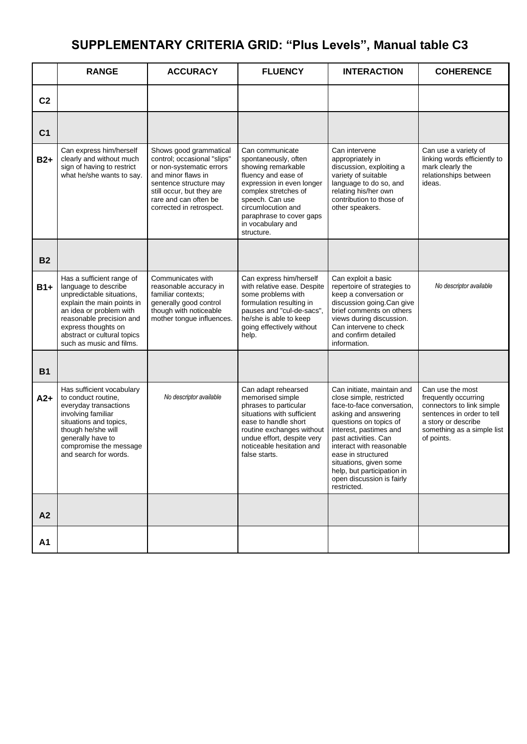# **SUPPLEMENTARY CRITERIA GRID: "Plus Levels", Manual table C3**

|                | <b>RANGE</b>                                                                                                                                                                                                                                          | <b>ACCURACY</b>                                                                                                                                                                                                     | <b>FLUENCY</b>                                                                                                                                                                                                                                    | <b>INTERACTION</b>                                                                                                                                                                                                                                                                                                                             | <b>COHERENCE</b>                                                                                                                                                       |
|----------------|-------------------------------------------------------------------------------------------------------------------------------------------------------------------------------------------------------------------------------------------------------|---------------------------------------------------------------------------------------------------------------------------------------------------------------------------------------------------------------------|---------------------------------------------------------------------------------------------------------------------------------------------------------------------------------------------------------------------------------------------------|------------------------------------------------------------------------------------------------------------------------------------------------------------------------------------------------------------------------------------------------------------------------------------------------------------------------------------------------|------------------------------------------------------------------------------------------------------------------------------------------------------------------------|
| C <sub>2</sub> |                                                                                                                                                                                                                                                       |                                                                                                                                                                                                                     |                                                                                                                                                                                                                                                   |                                                                                                                                                                                                                                                                                                                                                |                                                                                                                                                                        |
| C <sub>1</sub> |                                                                                                                                                                                                                                                       |                                                                                                                                                                                                                     |                                                                                                                                                                                                                                                   |                                                                                                                                                                                                                                                                                                                                                |                                                                                                                                                                        |
| $B2+$          | Can express him/herself<br>clearly and without much<br>sign of having to restrict<br>what he/she wants to say.                                                                                                                                        | Shows good grammatical<br>control; occasional "slips"<br>or non-systematic errors<br>and minor flaws in<br>sentence structure may<br>still occur, but they are<br>rare and can often be<br>corrected in retrospect. | Can communicate<br>spontaneously, often<br>showing remarkable<br>fluency and ease of<br>expression in even longer<br>complex stretches of<br>speech. Can use<br>circumlocution and<br>paraphrase to cover gaps<br>in vocabulary and<br>structure. | Can intervene<br>appropriately in<br>discussion, exploiting a<br>variety of suitable<br>language to do so, and<br>relating his/her own<br>contribution to those of<br>other speakers.                                                                                                                                                          | Can use a variety of<br>linking words efficiently to<br>mark clearly the<br>relationships between<br>ideas.                                                            |
| <b>B2</b>      |                                                                                                                                                                                                                                                       |                                                                                                                                                                                                                     |                                                                                                                                                                                                                                                   |                                                                                                                                                                                                                                                                                                                                                |                                                                                                                                                                        |
| $B1+$          | Has a sufficient range of<br>language to describe<br>unpredictable situations,<br>explain the main points in<br>an idea or problem with<br>reasonable precision and<br>express thoughts on<br>abstract or cultural topics<br>such as music and films. | Communicates with<br>reasonable accuracy in<br>familiar contexts;<br>generally good control<br>though with noticeable<br>mother tongue influences.                                                                  | Can express him/herself<br>with relative ease. Despite<br>some problems with<br>formulation resulting in<br>pauses and "cul-de-sacs",<br>he/she is able to keep<br>going effectively without<br>help.                                             | Can exploit a basic<br>repertoire of strategies to<br>keep a conversation or<br>discussion going.Can give<br>brief comments on others<br>views during discussion.<br>Can intervene to check<br>and confirm detailed<br>information.                                                                                                            | No descriptor available                                                                                                                                                |
| <b>B1</b>      |                                                                                                                                                                                                                                                       |                                                                                                                                                                                                                     |                                                                                                                                                                                                                                                   |                                                                                                                                                                                                                                                                                                                                                |                                                                                                                                                                        |
| $A2+$          | Has sufficient vocabulary<br>to conduct routine.<br>everyday transactions<br>involving familiar<br>situations and topics,<br>though he/she will<br>generally have to<br>compromise the message<br>and search for words.                               | No descriptor available                                                                                                                                                                                             | Can adapt rehearsed<br>memorised simple<br>phrases to particular<br>situations with sufficient<br>ease to handle short<br>routine exchanges without<br>undue effort, despite very<br>noticeable hesitation and<br>false starts.                   | Can initiate, maintain and<br>close simple, restricted<br>face-to-face conversation,<br>asking and answering<br>questions on topics of<br>interest, pastimes and<br>past activities. Can<br>interact with reasonable<br>ease in structured<br>situations, given some<br>help, but participation in<br>open discussion is fairly<br>restricted. | Can use the most<br>frequently occurring<br>connectors to link simple<br>sentences in order to tell<br>a story or describe<br>something as a simple list<br>of points. |
| A2             |                                                                                                                                                                                                                                                       |                                                                                                                                                                                                                     |                                                                                                                                                                                                                                                   |                                                                                                                                                                                                                                                                                                                                                |                                                                                                                                                                        |
| A1             |                                                                                                                                                                                                                                                       |                                                                                                                                                                                                                     |                                                                                                                                                                                                                                                   |                                                                                                                                                                                                                                                                                                                                                |                                                                                                                                                                        |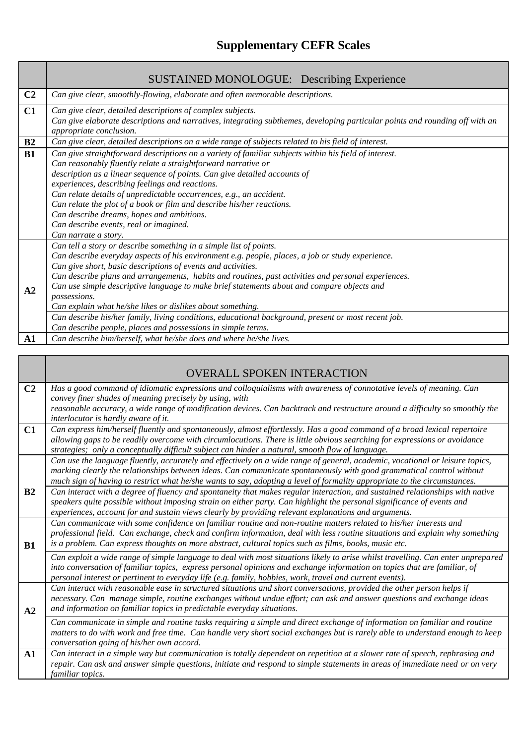## **Supplementary CEFR Scales**

|                | <b>SUSTAINED MONOLOGUE:</b> Describing Experience                                                                                                                                                                     |  |  |  |  |  |
|----------------|-----------------------------------------------------------------------------------------------------------------------------------------------------------------------------------------------------------------------|--|--|--|--|--|
| C <sub>2</sub> | Can give clear, smoothly-flowing, elaborate and often memorable descriptions.                                                                                                                                         |  |  |  |  |  |
| C1             | Can give clear, detailed descriptions of complex subjects.<br>Can give elaborate descriptions and narratives, integrating subthemes, developing particular points and rounding off with an<br>appropriate conclusion. |  |  |  |  |  |
| B2             | Can give clear, detailed descriptions on a wide range of subjects related to his field of interest.                                                                                                                   |  |  |  |  |  |
| B1             | Can give straightforward descriptions on a variety of familiar subjects within his field of interest.                                                                                                                 |  |  |  |  |  |
|                | Can reasonably fluently relate a straightforward narrative or                                                                                                                                                         |  |  |  |  |  |
|                | description as a linear sequence of points. Can give detailed accounts of                                                                                                                                             |  |  |  |  |  |
|                | experiences, describing feelings and reactions.                                                                                                                                                                       |  |  |  |  |  |
|                | Can relate details of unpredictable occurrences, e.g., an accident.                                                                                                                                                   |  |  |  |  |  |
|                | Can relate the plot of a book or film and describe his/her reactions.                                                                                                                                                 |  |  |  |  |  |
|                | Can describe dreams, hopes and ambitions.                                                                                                                                                                             |  |  |  |  |  |
|                | Can describe events, real or imagined.                                                                                                                                                                                |  |  |  |  |  |
|                | Can narrate a story.                                                                                                                                                                                                  |  |  |  |  |  |
|                | Can tell a story or describe something in a simple list of points.                                                                                                                                                    |  |  |  |  |  |
|                | Can describe everyday aspects of his environment e.g. people, places, a job or study experience.                                                                                                                      |  |  |  |  |  |
|                | Can give short, basic descriptions of events and activities.                                                                                                                                                          |  |  |  |  |  |
|                | Can describe plans and arrangements, habits and routines, past activities and personal experiences.                                                                                                                   |  |  |  |  |  |
| A2             | Can use simple descriptive language to make brief statements about and compare objects and                                                                                                                            |  |  |  |  |  |
|                | possessions.                                                                                                                                                                                                          |  |  |  |  |  |
|                | Can explain what he/she likes or dislikes about something.                                                                                                                                                            |  |  |  |  |  |
|                | Can describe his/her family, living conditions, educational background, present or most recent job.                                                                                                                   |  |  |  |  |  |
|                | Can describe people, places and possessions in simple terms.                                                                                                                                                          |  |  |  |  |  |
| ${\bf A1}$     | Can describe him/herself, what he/she does and where he/she lives.                                                                                                                                                    |  |  |  |  |  |

|                | <b>OVERALL SPOKEN INTERACTION</b>                                                                                                                                                                                                                                                                                                                                                  |
|----------------|------------------------------------------------------------------------------------------------------------------------------------------------------------------------------------------------------------------------------------------------------------------------------------------------------------------------------------------------------------------------------------|
| C <sub>2</sub> | Has a good command of idiomatic expressions and colloquialisms with awareness of connotative levels of meaning. Can<br>convey finer shades of meaning precisely by using, with<br>reasonable accuracy, a wide range of modification devices. Can backtrack and restructure around a difficulty so smoothly the<br>interlocutor is hardly aware of it.                              |
| C1             | Can express him/herself fluently and spontaneously, almost effortlessly. Has a good command of a broad lexical repertoire<br>allowing gaps to be readily overcome with circumlocutions. There is little obvious searching for expressions or avoidance<br>strategies; only a conceptually difficult subject can hinder a natural, smooth flow of language.                         |
|                | Can use the language fluently, accurately and effectively on a wide range of general, academic, vocational or leisure topics,<br>marking clearly the relationships between ideas. Can communicate spontaneously with good grammatical control without<br>much sign of having to restrict what he/she wants to say, adopting a level of formality appropriate to the circumstances. |
| B <sub>2</sub> | Can interact with a degree of fluency and spontaneity that makes regular interaction, and sustained relationships with native<br>speakers quite possible without imposing strain on either party. Can highlight the personal significance of events and<br>experiences, account for and sustain views clearly by providing relevant explanations and arguments.                    |
| B1             | Can communicate with some confidence on familiar routine and non-routine matters related to his/her interests and<br>professional field. Can exchange, check and confirm information, deal with less routine situations and explain why something<br>is a problem. Can express thoughts on more abstract, cultural topics such as films, books, music etc.                         |
|                | Can exploit a wide range of simple language to deal with most situations likely to arise whilst travelling. Can enter unprepared<br>into conversation of familiar topics, express personal opinions and exchange information on topics that are familiar, of<br>personal interest or pertinent to everyday life (e.g. family, hobbies, work, travel and current events).           |
| A <sub>2</sub> | Can interact with reasonable ease in structured situations and short conversations, provided the other person helps if<br>necessary. Can manage simple, routine exchanges without undue effort; can ask and answer questions and exchange ideas<br>and information on familiar topics in predictable everyday situations.                                                          |
|                | Can communicate in simple and routine tasks requiring a simple and direct exchange of information on familiar and routine<br>matters to do with work and free time. Can handle very short social exchanges but is rarely able to understand enough to keep<br>conversation going of his/her own accord.                                                                            |
| $\mathbf{A1}$  | Can interact in a simple way but communication is totally dependent on repetition at a slower rate of speech, rephrasing and<br>repair. Can ask and answer simple questions, initiate and respond to simple statements in areas of immediate need or on very<br>familiar topics.                                                                                                   |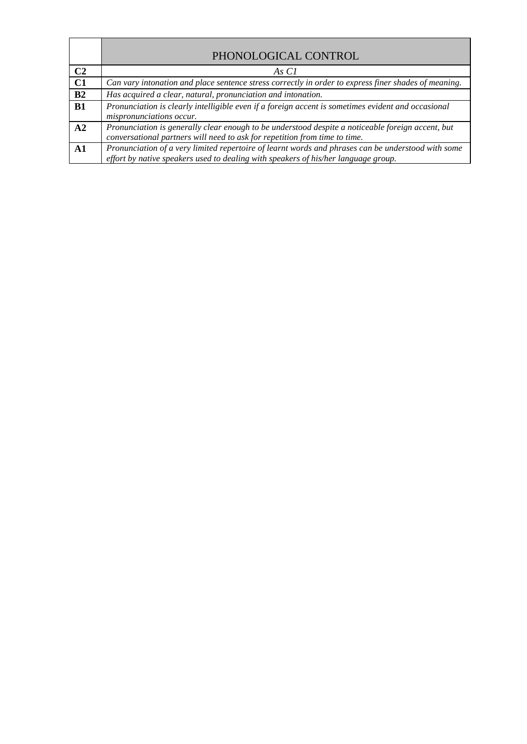|                | PHONOLOGICAL CONTROL                                                                                                                                                                     |  |  |  |  |  |
|----------------|------------------------------------------------------------------------------------------------------------------------------------------------------------------------------------------|--|--|--|--|--|
| C <sub>2</sub> | As Cl                                                                                                                                                                                    |  |  |  |  |  |
| C1             | Can vary intonation and place sentence stress correctly in order to express finer shades of meaning.                                                                                     |  |  |  |  |  |
| B2             | Has acquired a clear, natural, pronunciation and intonation.                                                                                                                             |  |  |  |  |  |
| <b>B1</b>      | Pronunciation is clearly intelligible even if a foreign accent is sometimes evident and occasional<br>mispronunciations occur.                                                           |  |  |  |  |  |
| A2             | Pronunciation is generally clear enough to be understood despite a noticeable foreign accent, but<br>conversational partners will need to ask for repetition from time to time.          |  |  |  |  |  |
| $\mathbf{A1}$  | Pronunciation of a very limited repertoire of learnt words and phrases can be understood with some<br>effort by native speakers used to dealing with speakers of his/her language group. |  |  |  |  |  |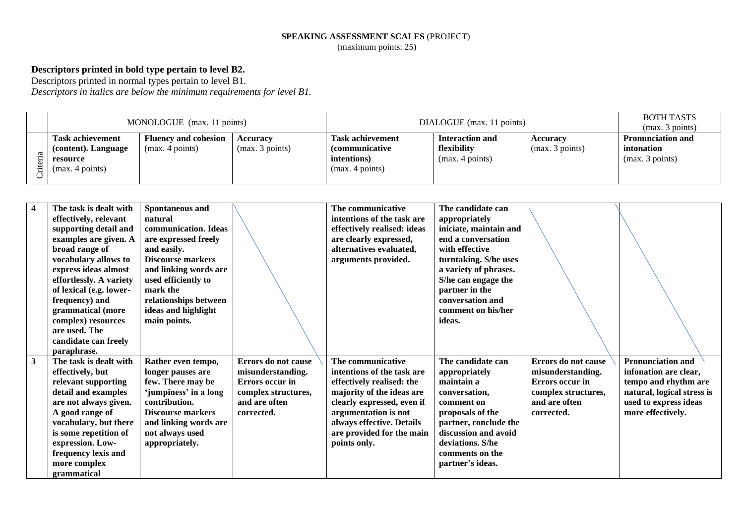#### **SPEAKING ASSESSMENT SCALES** (PROJECT) (maximum points: 25)

### **Descriptors printed in bold type pertain to level B2.**

Descriptors printed in normal types pertain to level B1.

*Descriptors in italics are below the minimum requirements for level B1.*

| MONOLOGUE (max. 11 points)                                                    |                                                |                             | DIALOGUE (max. 11 points)                                                           | <b>BOTH TASTS</b><br>(max. 3 points)              |                                    |                                                           |
|-------------------------------------------------------------------------------|------------------------------------------------|-----------------------------|-------------------------------------------------------------------------------------|---------------------------------------------------|------------------------------------|-----------------------------------------------------------|
| <b>Task achievement</b><br>(content). Language<br>resource<br>(max. 4 points) | <b>Fluency and cohesion</b><br>(max. 4 points) | Accuracy<br>(max. 3 points) | <b>Task achievement</b><br><i>(communicative)</i><br>intentions)<br>(max. 4 points) | Interaction and<br>flexibility<br>(max. 4 points) | <b>Accuracy</b><br>(max. 3 points) | <b>Pronunciation and</b><br>intonation<br>(max. 3 points) |

| $\overline{\mathbf{4}}$ | The task is dealt with<br>effectively, relevant<br>supporting detail and<br>examples are given. A<br>broad range of<br>vocabulary allows to<br>express ideas almost<br>effortlessly. A variety<br>of lexical (e.g. lower-<br>frequency) and<br>grammatical (more<br>complex) resources<br>are used. The<br>candidate can freely<br>paraphrase. | <b>Spontaneous and</b><br>natural<br>communication. Ideas<br>are expressed freely<br>and easily.<br><b>Discourse markers</b><br>and linking words are<br>used efficiently to<br>mark the<br>relationships between<br>ideas and highlight<br>main points. |                                                                                                                   | The communicative<br>intentions of the task are<br>effectively realised: ideas<br>are clearly expressed,<br>alternatives evaluated,<br>arguments provided.                                                                                | The candidate can<br>appropriately<br>iniciate, maintain and<br>end a conversation<br>with effective<br>turntaking. S/he uses<br>a variety of phrases.<br>S/he can engage the<br>partner in the<br>conversation and<br>comment on his/her<br>ideas. |                                                                                                                   |                                                                                                                                                       |
|-------------------------|------------------------------------------------------------------------------------------------------------------------------------------------------------------------------------------------------------------------------------------------------------------------------------------------------------------------------------------------|----------------------------------------------------------------------------------------------------------------------------------------------------------------------------------------------------------------------------------------------------------|-------------------------------------------------------------------------------------------------------------------|-------------------------------------------------------------------------------------------------------------------------------------------------------------------------------------------------------------------------------------------|-----------------------------------------------------------------------------------------------------------------------------------------------------------------------------------------------------------------------------------------------------|-------------------------------------------------------------------------------------------------------------------|-------------------------------------------------------------------------------------------------------------------------------------------------------|
| 3                       | The task is dealt with<br>effectively, but<br>relevant supporting<br>detail and examples<br>are not always given.<br>A good range of<br>vocabulary, but there<br>is some repetition of<br>expression. Low-<br>frequency lexis and<br>more complex<br>grammatical                                                                               | Rather even tempo,<br>longer pauses are<br>few. There may be<br>'jumpiness' in a long<br>contribution.<br><b>Discourse markers</b><br>and linking words are<br>not always used<br>appropriately.                                                         | Errors do not cause<br>misunderstanding.<br>Errors occur in<br>complex structures,<br>and are often<br>corrected. | The communicative<br>intentions of the task are<br>effectively realised: the<br>majority of the ideas are<br>clearly expressed, even if<br>argumentation is not<br>always effective. Details<br>are provided for the main<br>points only. | The candidate can<br>appropriately<br>maintain a<br>conversation,<br>comment on<br>proposals of the<br>partner, conclude the<br>discussion and avoid<br>deviations. S/he<br>comments on the<br>partner's ideas.                                     | Errors do not cause<br>misunderstanding.<br>Errors occur in<br>complex structures,<br>and are often<br>corrected. | <b>Pronunciation and</b><br>infonation are clear,<br>tempo and rhythm are<br>natural, logical stress is<br>used to express ideas<br>more effectively. |